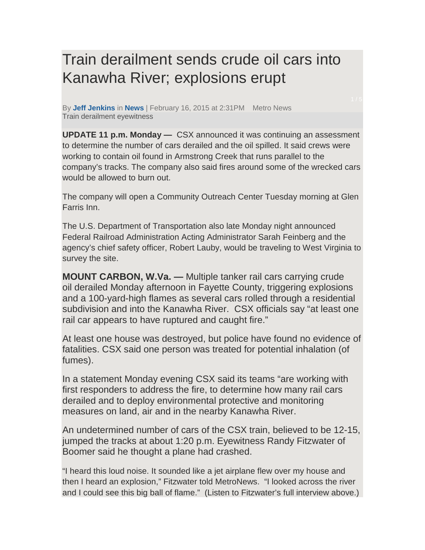## Train derailment sends crude oil cars into Kanawha River; explosions erupt

By **Jeff Jenkins** in **News** | February 16, 2015 at 2:31PM Metro News Train derailment eyewitness

**UPDATE 11 p.m. Monday —** CSX announced it was continuing an assessment to determine the number of cars derailed and the oil spilled. It said crews were working to contain oil found in Armstrong Creek that runs parallel to the company's tracks. The company also said fires around some of the wrecked cars would be allowed to burn out.

The company will open a Community Outreach Center Tuesday morning at Glen Farris Inn.

The U.S. Department of Transportation also late Monday night announced Federal Railroad Administration Acting Administrator Sarah Feinberg and the agency's chief safety officer, Robert Lauby, would be traveling to West Virginia to survey the site.

**MOUNT CARBON, W.Va. —** Multiple tanker rail cars carrying crude oil derailed Monday afternoon in Fayette County, triggering explosions and a 100-yard-high flames as several cars rolled through a residential subdivision and into the Kanawha River. CSX officials say "at least one rail car appears to have ruptured and caught fire."

At least one house was destroyed, but police have found no evidence of fatalities. CSX said one person was treated for potential inhalation (of fumes).

In a statement Monday evening CSX said its teams "are working with first responders to address the fire, to determine how many rail cars derailed and to deploy environmental protective and monitoring measures on land, air and in the nearby Kanawha River.

An undetermined number of cars of the CSX train, believed to be 12-15, jumped the tracks at about 1:20 p.m. Eyewitness Randy Fitzwater of Boomer said he thought a plane had crashed.

"I heard this loud noise. It sounded like a jet airplane flew over my house and then I heard an explosion," Fitzwater told MetroNews. "I looked across the river and I could see this big ball of flame." (Listen to Fitzwater's full interview above.)